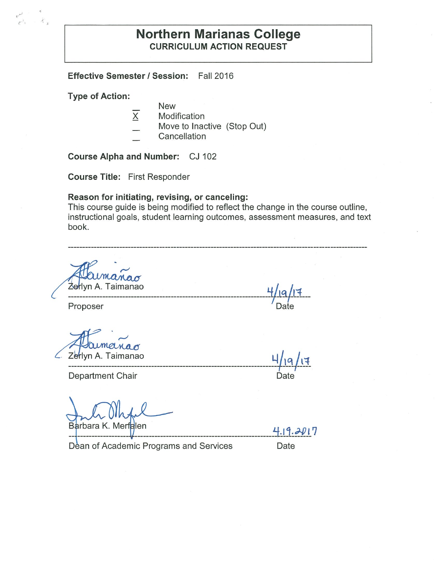## **Northern Marianas College CURRICULUM ACTION REQUEST**

**Effective Semester/ Session:** Fall 2016

**Type of Action:** 

 $r^2$ 

- New
- $\overline{\mathsf{x}}$ Modification
- Move to Inactive (Stop Out)
- **Cancellation**

**Course Alpha and Number:** CJ 102

**Course Title:** First Responder

#### **Reason for initiating, revising, or canceling:**

This course guide is being modified to reflect the change in the course outline, instructional goals, student learning outcomes, assessment measures, and text book.

------------------------------------------------------------------------------------------

\_\_\_\_lyn A.\_ Tai man a o **------------------------------------------1+/l q/r1** \_\_\_

Proposer **Date** Proposer

Z lyn A. Taimanao **4 /**

----- 19/17

Department Chair and Date of Date Date

Barbara K. Merfalen

4.19.2017

Dean of Academic Programs and Services Date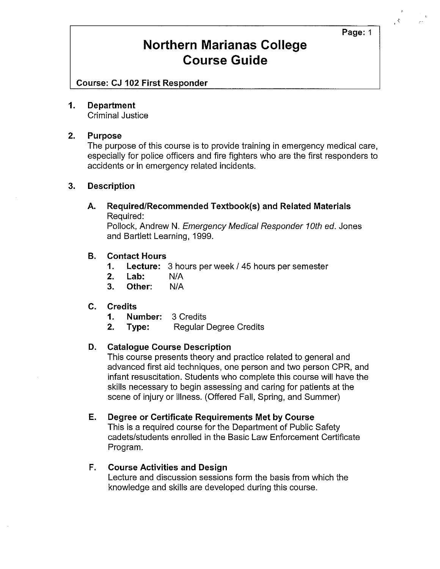**Page:** 1

 $\mathcal{L}$ 

## **Northern Marianas College Course Guide**

**Course: CJ 102 First Responder** 

### **1. Department**

Criminal Justice

### **2. Purpose**

The purpose of this course is to provide training in emergency medical care, especially for police officers and fire fighters who are the first responders to accidents or in emergency related incidents.

### **3. Description**

### **A. Required/Recommended Textbook(s) and Related Materials**  Required:

Pollock, Andrew N. Emergency Medical Responder 10th ed. Jones and Bartlett Learning, 1999.

### **B. Contact Hours**

- **1.** Lecture: 3 hours per week / 45 hours per semester
- **2. Lab:** N/A
- **3. Other:** N/A

### **C. Credits**

- **1. Number:** 3 Credits
- **2. Type:** Regular Degree Credits

#### **D. Catalogue Course Description**

This course presents theory and practice related to general and advanced first aid techniques, one person and two person CPR, and infant resuscitation. Students who complete this course will have the skills necessary to begin assessing and caring for patients at the scene of injury or illness. (Offered Fall, Spring, and Summer)

#### **E. Degree or Certificate Requirements Met by Course**

This is a required course for the Department of Public Safety cadets/students enrolled in the Basic Law Enforcement Certificate Program.

### **F. Course Activities and Design**

Lecture and discussion sessions form the basis from which the knowledge and skills are developed during this course.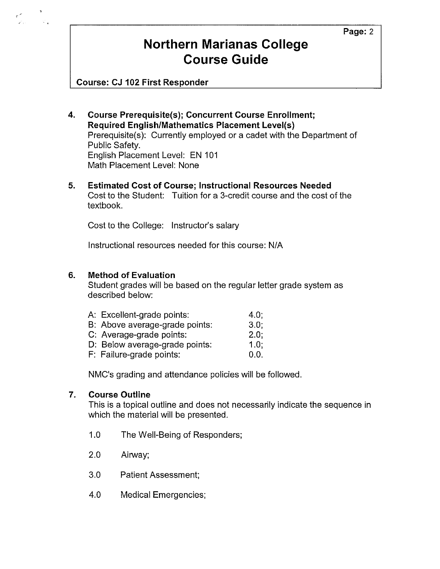## **Northern Marianas College Course Guide**

**Course: CJ 102 First Responder** 

- **4. Course Prerequisite(s); Concurrent Course Enrollment; Required English/Mathematics Placement Level(s)**  Prerequisite(s): Currently employed or a cadet with the Department of Public Safety. English Placement Level: EN 101 Math Placement Level: None
- **5. Estimated Cost of Course; Instructional Resources Needed**  Cost to the Student: Tuition for a 3-credit course and the cost of the textbook.

Cost to the College: Instructor's salary

Instructional resources needed for this course: N/A

### **6. Method of Evaluation**

Student grades will be based on the regular letter grade system as described below:

| A: Excellent-grade points:     | 4.0:    |
|--------------------------------|---------|
| B: Above average-grade points: | 3.0:    |
| C: Average-grade points:       | $2.0$ ; |
| D: Below average-grade points: | 1.0:    |
| F: Failure-grade points:       | 0.0.    |

NMC's grading and attendance policies will be followed.

### **7. Course Outline**

This is a topical outline and does not necessarily indicate the sequence in which the material will be presented.

- 1.0 The Well-Being of Responders;
- 2.0 Airway;
- 3.0 Patient Assessment;
- 4.0 Medical Emergencies;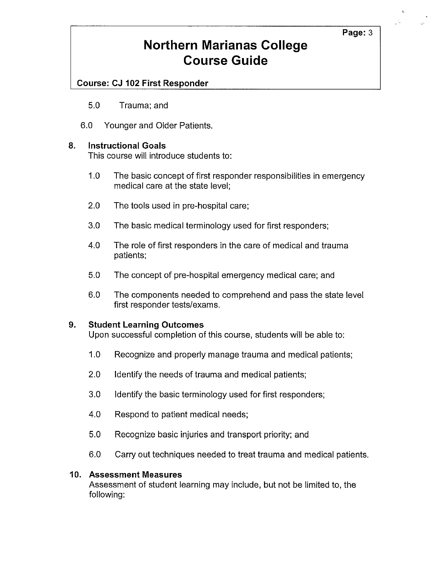**Page:3** 

## **Northern Marianas College Course Guide**

## **Course: CJ 102 First Responder**

- 5.0 Trauma; and
- 6.0 Younger and Older Patients.

### **8. Instructional Goals**

This course will introduce students to:

- 1.0 The basic concept of first responder responsibilities in emergency medical care at the state level;
- 2.0 The tools used in pre-hospital care;
- 3.0 The basic medical terminology used for first responders;
- 4.0 The role of first responders in the care of medical and trauma patients;
- 5.0 The concept of pre-hospital emergency medical care; and
- 6.0 The components needed to comprehend and pass the state level first responder tests/exams.

### **9. Student Learning Outcomes**

Upon successful completion of this course, students will be able to:

- 1.0 Recognize and properly manage trauma and medical patients;
- 2.0 Identify the needs of trauma and medical patients;
- 3.0 Identify the basic terminology used for first responders;
- 4.0 Respond to patient medical needs;
- 5.0 Recognize basic injuries and transport priority; and
- 6.0 Carry out techniques needed to treat trauma and medical patients.

### **1O. Assessment Measures**

Assessment of student learning may include, but not be limited to, the following: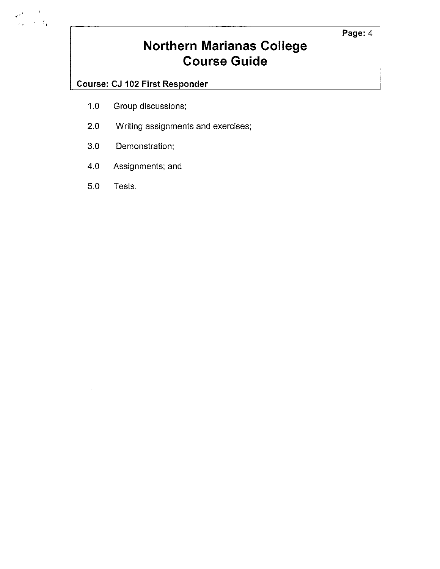### **Page:4**

# **Northern Marianas College Course Guide**

## **Course: CJ 102 First Responder**

- 1.0 Group discussions;
- 2.0 Writing assignments and exercises;
- 3.0 Demonstration;
- 4.0 Assignments; and
- 5.0 Tests.

antico<br>Valores (f